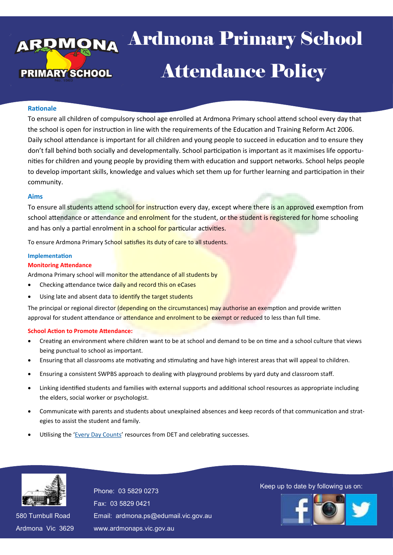# <sub>aa</sub> Ardmona Pri **Example 12 Attendance Policy** 13 April 2016 Ardmona Primary School

#### **Rationale**

To ensure all children of compulsory school age enrolled at Ardmona Primary school attend school every day that the school is open for instruction in line with the requirements of the Education and Training Reform Act 2006. Daily school attendance is important for all children and young people to succeed in education and to ensure they don't fall behind both socially and developmentally. School participation is important as it maximises life opportunities for children and young people by providing them with education and support networks. School helps people to develop important skills, knowledge and values which set them up for further learning and participation in their community.

#### **Aims**

To ensure all students attend school for instruction every day, except where there is an approved exemption from school attendance or attendance and enrolment for the student, or the student is registered for home schooling and has only a partial enrolment in a school for particular activities.

To ensure Ardmona Primary School satisfies its duty of care to all students.

#### **Implementation**

#### **Monitoring Attendance**

Ardmona Primary school will monitor the attendance of all students by

- Checking attendance twice daily and record this on eCases
- Using late and absent data to identify the target students

The principal or regional director (depending on the circumstances) may authorise an exemption and provide written approval for student attendance or attendance and enrolment to be exempt or reduced to less than full time.

#### **School Action to Promote Attendance:**

- Creating an environment where children want to be at school and demand to be on time and a school culture that views being punctual to school as important.
- Ensuring that all classrooms ate motivating and stimulating and have high interest areas that will appeal to children.
- Ensuring a consistent SWPBS approach to dealing with playground problems by yard duty and classroom staff.
- Linking identified students and families with external supports and additional school resources as appropriate including the elders, social worker or psychologist.
- Communicate with parents and students about unexplained absences and keep records of that communication and strategies to assist the student and family.
- Utilising the ['Every Day Counts'](file:///C:/Users/09385133/Documents/Nathan Turner/2021/Policies/Every Day Counts.pdf) resources from DET and celebrating successes.



580 Turnbull Road 580 Turnbull Road Ardmona Vic 3629 Ardmona Vic 3629 Fax: 03 5829 0421 Fax: 03 5829 0421 Email: ardmona.ps@edumail.vic.gov.au Email: ardmona.ps@edumail.vic.gov.au www.ardmonaps.vic.gov.au www.ardmonaps.vic.gov.au

Thone: 03 5829 0273<br>Phone: 03 5829 0273

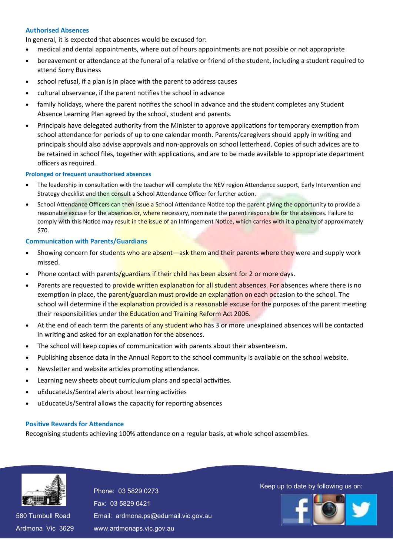# **Authorised Absences**

In general, it is expected that absences would be excused for:

- medical and dental appointments, where out of hours appointments are not possible or not appropriate
- bereavement or attendance at the funeral of a relative or friend of the student, including a student required to attend Sorry Business
- school refusal, if a plan is in place with the parent to address causes
- cultural observance, if the parent notifies the school in advance
- family holidays, where the parent notifies the school in advance and the student completes any Student Absence Learning Plan agreed by the school, student and parents.
- Principals have delegated authority from the Minister to approve applications for temporary exemption from school attendance for periods of up to one calendar month. Parents/caregivers should apply in writing and principals should also advise approvals and non-approvals on school letterhead. Copies of such advices are to be retained in school files, together with applications, and are to be made available to appropriate department officers as required.

#### **Prolonged or frequent unauthorised absences**

- The leadership in consultation with the teacher will complete the NEV region Attendance support, Early Intervention and Strategy checklist and then consult a School Attendance Officer for further action.
- School Attendance Officers can then issue a School Attendance Notice top the parent giving the opportunity to provide a reasonable excuse for the absences or, where necessary, nominate the parent responsible for the absences. Failure to comply with this Notice may result in the issue of an Infringement Notice, which carries with it a penalty of approximately \$70.

## **Communication with Parents/Guardians**

- Showing concern for students who are absent—ask them and their parents where they were and supply work missed.
- Phone contact with parents/guardians if their child has been absent for 2 or more days.
- Parents are requested to provide written explanation for all student absences. For absences where there is no exemption in place, the parent/guardian must provide an explanation on each occasion to the school. The school will determine if the explanation provided is a reasonable excuse for the purposes of the parent meeting their responsibilities under the Education and Training Reform Act 2006.
- At the end of each term the parents of any student who has 3 or more unexplained absences will be contacted in writing and asked for an explanation for the absences.
- The school will keep copies of communication with parents about their absenteeism.
- Publishing absence data in the Annual Report to the school community is available on the school website.
- Newsletter and website articles promoting attendance.
- Learning new sheets about curriculum plans and special activities.
- uEducateUs/Sentral alerts about learning activities
- uEducateUs/Sentral allows the capacity for reporting absences

## **Positive Rewards for Attendance**

Recognising students achieving 100% attendance on a regular basis, at whole school assemblies.



580 Turnbull Road 580 Turnbull Road Ardmona Vic 3629 Ardmona Vic 3629 Fax: 03 5829 0421 Fax: 03 5829 0421 Email: ardmona.ps@edumail.vic.gov.au Email: ardmona.ps@edumail.vic.gov.au www.ardmonaps.vic.gov.au www.ardmonaps.vic.gov.au

Thone: 03 5829 0273<br>Phone: 03 5829 0273